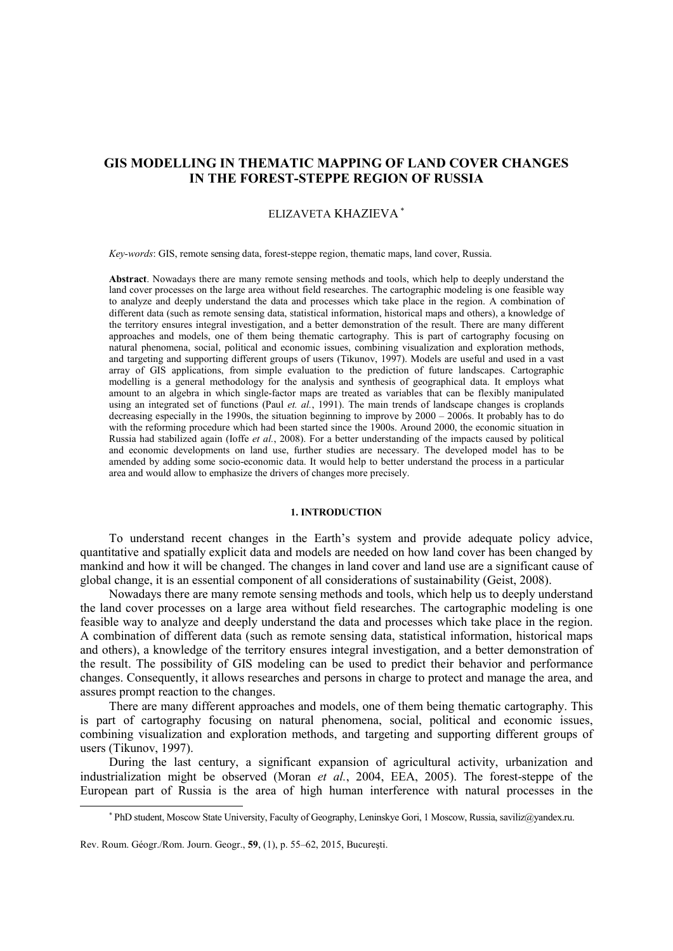# **GIS MODELLING IN THEMATIC MAPPING OF LAND COVER CHANGES IN THE FOREST-STEPPE REGION OF RUSSIA**

## ELIZAVETA KHAZIEVA <sup>∗</sup>

*Key-words*: GIS, remote sensing data, forest-steppe region, thematic maps, land cover, Russia.

**Abstract**. Nowadays there are many remote sensing methods and tools, which help to deeply understand the land cover processes on the large area without field researches. The cartographic modeling is one feasible way to analyze and deeply understand the data and processes which take place in the region. A combination of different data (such as remote sensing data, statistical information, historical maps and others), a knowledge of the territory ensures integral investigation, and a better demonstration of the result. There are many different approaches and models, one of them being thematic cartography. This is part of cartography focusing on natural phenomena, social, political and economic issues, combining visualization and exploration methods, and targeting and supporting different groups of users (Tikunov, 1997). Models are useful and used in a vast array of GIS applications, from simple evaluation to the prediction of future landscapes. Cartographic modelling is a general methodology for the analysis and synthesis of geographical data. It employs what amount to an algebra in which single-factor maps are treated as variables that can be flexibly manipulated using an integrated set of functions (Paul *et. al.*, 1991). The main trends of landscape changes is croplands decreasing especially in the 1990s, the situation beginning to improve by 2000 – 2006s. It probably has to do with the reforming procedure which had been started since the 1900s. Around 2000, the economic situation in Russia had stabilized again (Ioffe *et al.*, 2008). For a better understanding of the impacts caused by political and economic developments on land use, further studies are necessary. The developed model has to be amended by adding some socio-economic data. It would help to better understand the process in a particular area and would allow to emphasize the drivers of changes more precisely.

## **1. INTRODUCTION**

To understand recent changes in the Earth's system and provide adequate policy advice, quantitative and spatially explicit data and models are needed on how land cover has been changed by mankind and how it will be changed. The changes in land cover and land use are a significant cause of global change, it is an essential component of all considerations of sustainability (Geist, 2008).

Nowadays there are many remote sensing methods and tools, which help us to deeply understand the land cover processes on a large area without field researches. The cartographic modeling is one feasible way to analyze and deeply understand the data and processes which take place in the region. A combination of different data (such as remote sensing data, statistical information, historical maps and others), a knowledge of the territory ensures integral investigation, and a better demonstration of the result. The possibility of GIS modeling can be used to predict their behavior and performance changes. Consequently, it allows researches and persons in charge to protect and manage the area, and assures prompt reaction to the changes.

There are many different approaches and models, one of them being thematic cartography. This is part of cartography focusing on natural phenomena, social, political and economic issues, combining visualization and exploration methods, and targeting and supporting different groups of users (Tikunov, 1997).

During the last century, a significant expansion of agricultural activity, urbanization and industrialization might be observed (Moran *et al.*, 2004, EEA, 2005). The forest-steppe of the European part of Russia is the area of high human interference with natural processes in the

1

<sup>∗</sup> PhD student, Moscow State University, Faculty of Geography, Leninskye Gori, 1 Moscow, Russia, saviliz@yandex.ru.

Rev. Roum. Géogr./Rom. Journ. Geogr., **59**, (1), p. 55–62, 2015, Bucureşti.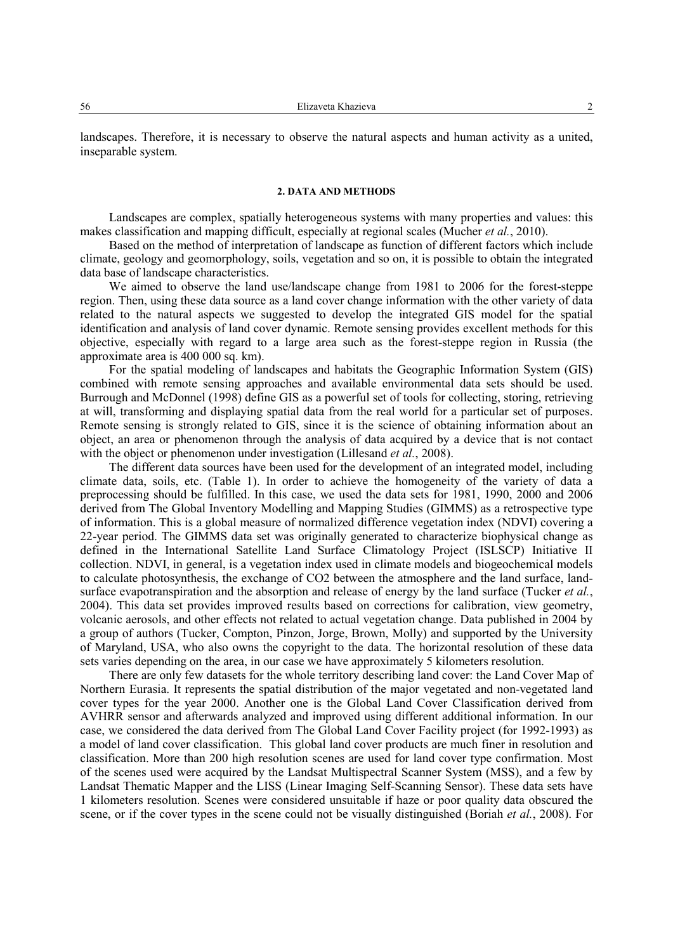landscapes. Therefore, it is necessary to observe the natural aspects and human activity as a united, inseparable system.

### **2. DATA AND METHODS**

Landscapes are complex, spatially heterogeneous systems with many properties and values: this makes classification and mapping difficult, especially at regional scales (Mucher *et al.*, 2010).

Based on the method of interpretation of landscape as function of different factors which include climate, geology and geomorphology, soils, vegetation and so on, it is possible to obtain the integrated data base of landscape characteristics.

We aimed to observe the land use/landscape change from 1981 to 2006 for the forest-steppe region. Then, using these data source as a land cover change information with the other variety of data related to the natural aspects we suggested to develop the integrated GIS model for the spatial identification and analysis of land cover dynamic. Remote sensing provides excellent methods for this objective, especially with regard to a large area such as the forest-steppe region in Russia (the approximate area is 400 000 sq. km).

For the spatial modeling of landscapes and habitats the Geographic Information System (GIS) combined with remote sensing approaches and available environmental data sets should be used. Burrough and McDonnel (1998) define GIS as a powerful set of tools for collecting, storing, retrieving at will, transforming and displaying spatial data from the real world for a particular set of purposes. Remote sensing is strongly related to GIS, since it is the science of obtaining information about an object, an area or phenomenon through the analysis of data acquired by a device that is not contact with the object or phenomenon under investigation (Lillesand *et al.*, 2008).

The different data sources have been used for the development of an integrated model, including climate data, soils, etc. (Table 1). In order to achieve the homogeneity of the variety of data a preprocessing should be fulfilled. In this case, we used the data sets for 1981, 1990, 2000 and 2006 derived from The Global Inventory Modelling and Mapping Studies (GIMMS) as a retrospective type of information. This is a global measure of normalized difference vegetation index (NDVI) covering a 22-year period. The GIMMS data set was originally generated to characterize biophysical change as defined in the International Satellite Land Surface Climatology Project (ISLSCP) Initiative II collection. NDVI, in general, is a vegetation index used in climate models and biogeochemical models to calculate photosynthesis, the exchange of CO2 between the atmosphere and the land surface, landsurface evapotranspiration and the absorption and release of energy by the land surface (Tucker *et al.*, 2004). This data set provides improved results based on corrections for calibration, view geometry, volcanic aerosols, and other effects not related to actual vegetation change. Data published in 2004 by a group of authors (Tucker, Compton, Pinzon, Jorge, Brown, Molly) and supported by the University of Maryland, USA, who also owns the copyright to the data. The horizontal resolution of these data sets varies depending on the area, in our case we have approximately 5 kilometers resolution.

There are only few datasets for the whole territory describing land cover: the Land Cover Map of Northern Eurasia. It represents the spatial distribution of the major vegetated and non-vegetated land cover types for the year 2000. Another one is the Global Land Cover Classification derived from AVHRR sensor and afterwards analyzed and improved using different additional information. In our case, we considered the data derived from The Global Land Cover Facility project (for 1992-1993) as a model of land cover classification. This global land cover products are much finer in resolution and classification. More than 200 high resolution scenes are used for land cover type confirmation. Most of the scenes used were acquired by the Landsat Multispectral Scanner System (MSS), and a few by Landsat Thematic Mapper and the LISS (Linear Imaging Self-Scanning Sensor). These data sets have 1 kilometers resolution. Scenes were considered unsuitable if haze or poor quality data obscured the scene, or if the cover types in the scene could not be visually distinguished (Boriah *et al.*, 2008). For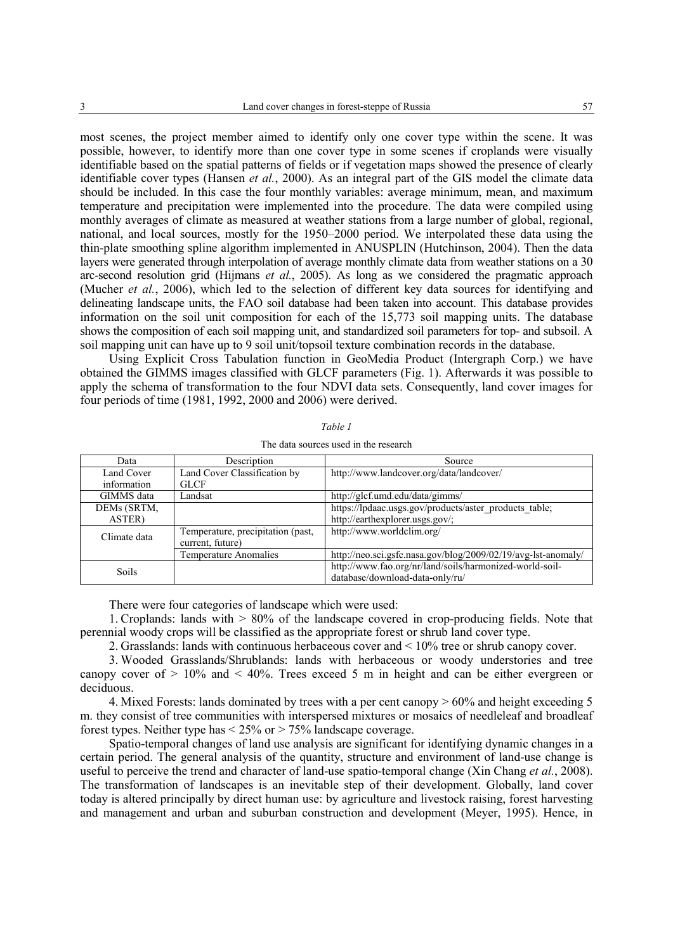most scenes, the project member aimed to identify only one cover type within the scene. It was possible, however, to identify more than one cover type in some scenes if croplands were visually identifiable based on the spatial patterns of fields or if vegetation maps showed the presence of clearly identifiable cover types (Hansen *et al.*, 2000). As an integral part of the GIS model the climate data should be included. In this case the four monthly variables: average minimum, mean, and maximum temperature and precipitation were implemented into the procedure. The data were compiled using monthly averages of climate as measured at weather stations from a large number of global, regional, national, and local sources, mostly for the 1950–2000 period. We interpolated these data using the thin-plate smoothing spline algorithm implemented in ANUSPLIN (Hutchinson, 2004). Then the data layers were generated through interpolation of average monthly climate data from weather stations on a 30 arc-second resolution grid (Hijmans *et al.*, 2005). As long as we considered the pragmatic approach (Mucher *et al.*, 2006), which led to the selection of different key data sources for identifying and delineating landscape units, the FAO soil database had been taken into account. This database provides information on the soil unit composition for each of the 15,773 soil mapping units. The database shows the composition of each soil mapping unit, and standardized soil parameters for top- and subsoil. A soil mapping unit can have up to 9 soil unit/topsoil texture combination records in the database.

Using Explicit Cross Tabulation function in GeoMedia Product (Intergraph Corp.) we have obtained the GIMMS images classified with GLCF parameters (Fig. 1). Afterwards it was possible to apply the schema of transformation to the four NDVI data sets. Consequently, land cover images for four periods of time (1981, 1992, 2000 and 2006) were derived.

| Data                  | Description                       | Source                                                        |  |  |  |  |  |
|-----------------------|-----------------------------------|---------------------------------------------------------------|--|--|--|--|--|
| Land Cover            | Land Cover Classification by      | http://www.landcover.org/data/landcover/                      |  |  |  |  |  |
| information           | <b>GLCF</b>                       |                                                               |  |  |  |  |  |
| GIMMS data<br>Landsat |                                   | http://glcf.umd.edu/data/gimms/                               |  |  |  |  |  |
| DEMs (SRTM,           |                                   | https://lpdaac.usgs.gov/products/aster_products_table;        |  |  |  |  |  |
| ASTER)                |                                   | http://earthexplorer.usgs.gov/;                               |  |  |  |  |  |
| Climate data          | Temperature, precipitation (past, | http://www.worldclim.org/                                     |  |  |  |  |  |
|                       | current, future)                  |                                                               |  |  |  |  |  |
|                       | Temperature Anomalies             | http://neo.sci.gsfc.nasa.gov/blog/2009/02/19/avg-lst-anomaly/ |  |  |  |  |  |
| Soils                 |                                   | http://www.fao.org/nr/land/soils/harmonized-world-soil-       |  |  |  |  |  |
|                       |                                   | database/download-data-only/ru/                               |  |  |  |  |  |

| ani |  |
|-----|--|
|-----|--|

The data sources used in the research

There were four categories of landscape which were used:

1. Croplands: lands with > 80% of the landscape covered in crop-producing fields. Note that perennial woody crops will be classified as the appropriate forest or shrub land cover type.

2. Grasslands: lands with continuous herbaceous cover and < 10% tree or shrub canopy cover.

3. Wooded Grasslands/Shrublands: lands with herbaceous or woody understories and tree canopy cover of  $> 10\%$  and  $< 40\%$ . Trees exceed 5 m in height and can be either evergreen or deciduous.

4. Mixed Forests: lands dominated by trees with a per cent canopy  $> 60\%$  and height exceeding 5 m. they consist of tree communities with interspersed mixtures or mosaics of needleleaf and broadleaf forest types. Neither type has  $\leq 25\%$  or  $> 75\%$  landscape coverage.

Spatio-temporal changes of land use analysis are significant for identifying dynamic changes in a certain period. The general analysis of the quantity, structure and environment of land-use change is useful to perceive the trend and character of land-use spatio-temporal change (Xin Сhang *et al.*, 2008). The transformation of landscapes is an inevitable step of their development. Globally, land cover today is altered principally by direct human use: by agriculture and livestock raising, forest harvesting and management and urban and suburban construction and development (Meyer, 1995). Hence, in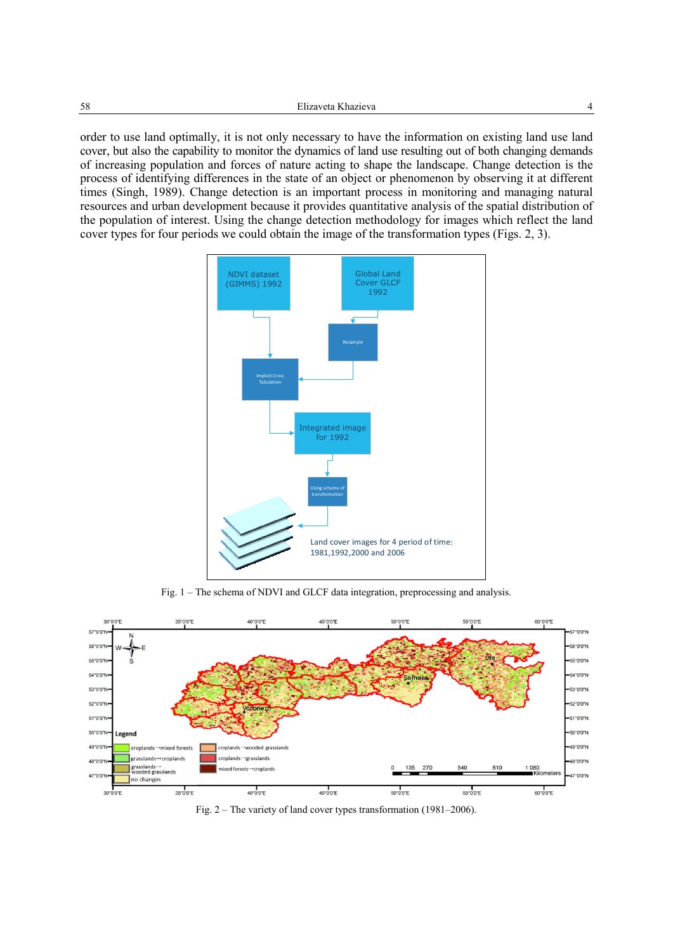order to use land optimally, it is not only necessary to have the information on existing land use land cover, but also the capability to monitor the dynamics of land use resulting out of both changing demands of increasing population and forces of nature acting to shape the landscape. Change detection is the process of identifying differences in the state of an object or phenomenon by observing it at different times (Singh, 1989). Change detection is an important process in monitoring and managing natural resources and urban development because it provides quantitative analysis of the spatial distribution of the population of interest. Using the change detection methodology for images which reflect the land cover types for four periods we could obtain the image of the transformation types (Figs. 2, 3).



Fig. 1 – The schema of NDVI and GLCF data integration, preprocessing and analysis.



Fig. 2 – The variety of land cover types transformation (1981–2006).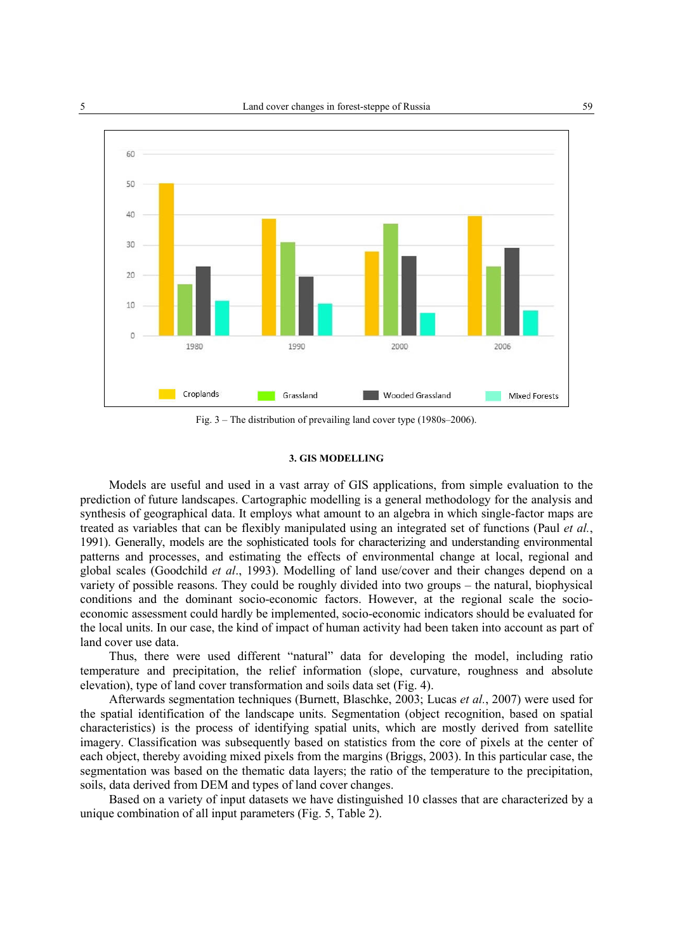

Fig. 3 – The distribution of prevailing land cover type (1980s–2006).

#### **3. GIS MODELLING**

Models are useful and used in a vast array of GIS applications, from simple evaluation to the prediction of future landscapes. Cartographic modelling is a general methodology for the analysis and synthesis of geographical data. It employs what amount to an algebra in which single-factor maps are treated as variables that can be flexibly manipulated using an integrated set of functions (Paul *et al.*, 1991). Generally, models are the sophisticated tools for characterizing and understanding environmental patterns and processes, and estimating the effects of environmental change at local, regional and global scales (Goodchild *et al*., 1993). Modelling of land use/cover and their changes depend on a variety of possible reasons. They could be roughly divided into two groups – the natural, biophysical conditions and the dominant socio-economic factors. However, at the regional scale the socioeconomic assessment could hardly be implemented, socio-economic indicators should be evaluated for the local units. In our case, the kind of impact of human activity had been taken into account as part of land cover use data.

Thus, there were used different "natural" data for developing the model, including ratio temperature and precipitation, the relief information (slope, curvature, roughness and absolute elevation), type of land cover transformation and soils data set (Fig. 4).

Afterwards segmentation techniques (Burnett, Blaschke, 2003; Lucas *et al.*, 2007) were used for the spatial identification of the landscape units. Segmentation (object recognition, based on spatial characteristics) is the process of identifying spatial units, which are mostly derived from satellite imagery. Classification was subsequently based on statistics from the core of pixels at the center of each object, thereby avoiding mixed pixels from the margins (Briggs, 2003). In this particular case, the segmentation was based on the thematic data layers; the ratio of the temperature to the precipitation, soils, data derived from DEM and types of land cover changes.

Based on a variety of input datasets we have distinguished 10 classes that are characterized by a unique combination of all input parameters (Fig. 5, Table 2).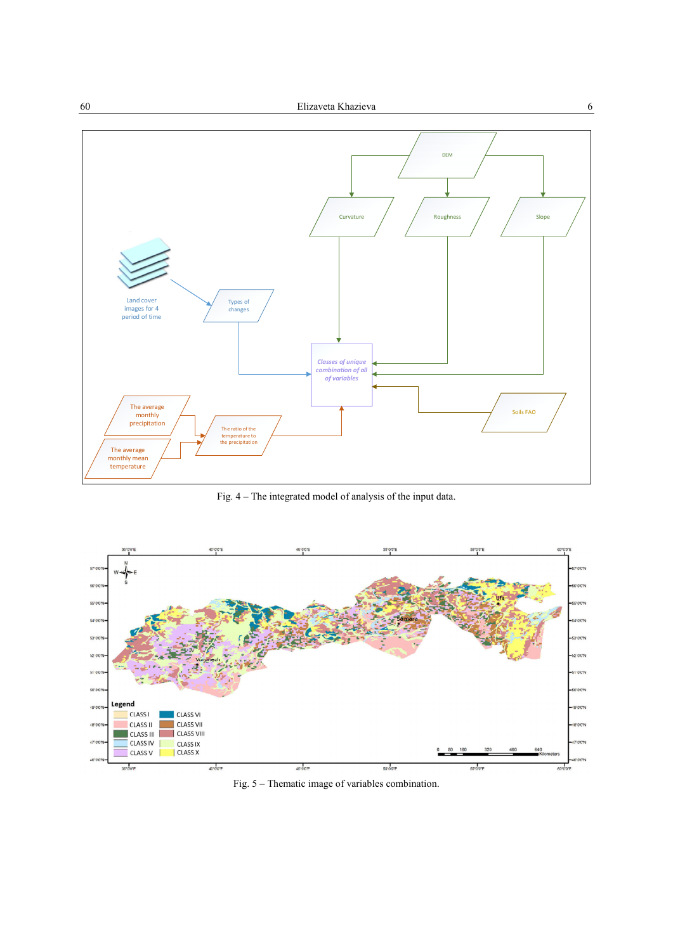

Fig. 4 – The integrated model of analysis of the input data.



Fig. 5 – Thematic image of variables combination.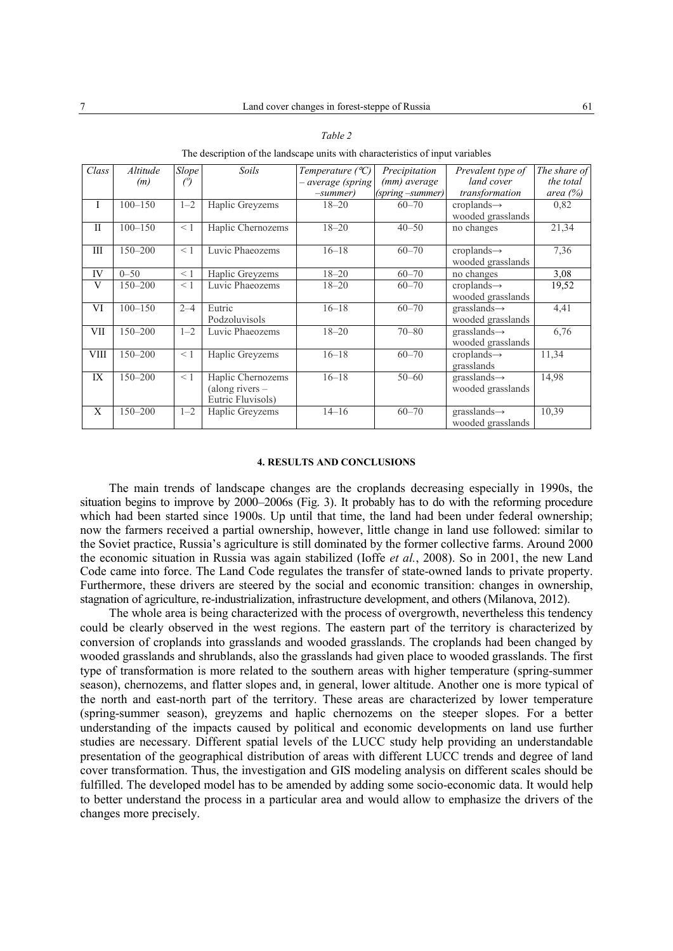| Class        | Altitude    | <b>Slope</b>   | Soils                                  | Temperature $({}^{\circ}C)$ | Precipitation    | Prevalent type of                             | The share of |
|--------------|-------------|----------------|----------------------------------------|-----------------------------|------------------|-----------------------------------------------|--------------|
|              | (m)         | $\binom{o}{l}$ |                                        | - average (spring           | (mm) average     | land cover                                    | the total    |
|              |             |                |                                        | $-summer)$                  | (spring –summer) | transformation                                | area $(\%)$  |
| I            | $100 - 150$ | $1 - 2$        | Haplic Greyzems                        | $18 - 20$                   | $60 - 70$        | $croplands \rightarrow$<br>wooded grasslands  | 0,82         |
| $\mathbf{I}$ | $100 - 150$ | $\leq 1$       | Haplic Chernozems                      | $18 - 20$                   | $40 - 50$        | no changes                                    | 21,34        |
| Ш            | $150 - 200$ | $\leq 1$       | Luvic Phaeozems                        | $16 - 18$                   | $60 - 70$        | $croplands \rightarrow$<br>wooded grasslands  | 7,36         |
| IV           | $0 - 50$    | < 1            | Haplic Greyzems                        | $18 - 20$                   | $60 - 70$        | no changes                                    | 3,08         |
| V            | $150 - 200$ | $\leq 1$       | Luvic Phaeozems                        | $18 - 20$                   | $60 - 70$        | $croplands \rightarrow$                       | 19,52        |
|              |             |                |                                        |                             |                  | wooded grasslands                             |              |
| VI           | $100 - 150$ | $2 - 4$        | Eutric                                 | $16 - 18$                   | $60 - 70$        | $grasslands \rightarrow$                      | 4,41         |
|              |             |                | Podzoluvisols                          |                             |                  | wooded grasslands                             |              |
| <b>VII</b>   | $150 - 200$ | $1 - 2$        | Luvic Phaeozems                        | $18 - 20$                   | $70 - 80$        | $grasslands \rightarrow$                      | 6,76         |
|              |             |                |                                        |                             |                  | wooded grasslands                             |              |
| <b>VIII</b>  | $150 - 200$ | $\leq 1$       | Haplic Greyzems                        | $16 - 18$                   | $60 - 70$        | $croplands \rightarrow$                       | 11,34        |
|              |             |                |                                        |                             |                  | grasslands                                    |              |
| IX           | $150 - 200$ | $\leq 1$       | Haplic Chernozems                      | $16 - 18$                   | $50 - 60$        | $grasslands \rightarrow$                      | 14,98        |
|              |             |                | (along rivers $-$<br>Eutric Fluvisols) |                             |                  | wooded grasslands                             |              |
| X            | $150 - 200$ | $1 - 2$        | Haplic Greyzems                        | $14 - 16$                   | $60 - 70$        | $grasslands \rightarrow$<br>wooded grasslands | 10,39        |

The description of the landscape units with characteristics of input variables

#### **4. RESULTS AND CONCLUSIONS**

The main trends of landscape changes are the croplands decreasing especially in 1990s, the situation begins to improve by 2000–2006s (Fig. 3). It probably has to do with the reforming procedure which had been started since 1900s. Up until that time, the land had been under federal ownership; now the farmers received a partial ownership, however, little change in land use followed: similar to the Soviet practice, Russia's agriculture is still dominated by the former collective farms. Around 2000 the economic situation in Russia was again stabilized (Ioffe *et al.*, 2008). So in 2001, the new Land Code came into force. The Land Code regulates the transfer of state-owned lands to private property. Furthermore, these drivers are steered by the social and economic transition: changes in ownership, stagnation of agriculture, re-industrialization, infrastructure development, and others (Milanova, 2012).

The whole area is being characterized with the process of overgrowth, nevertheless this tendency could be clearly observed in the west regions. The eastern part of the territory is characterized by conversion of croplands into grasslands and wooded grasslands. The croplands had been changed by wooded grasslands and shrublands, also the grasslands had given place to wooded grasslands. The first type of transformation is more related to the southern areas with higher temperature (spring-summer season), chernozems, and flatter slopes and, in general, lower altitude. Another one is more typical of the north and east-north part of the territory. These areas are characterized by lower temperature (spring-summer season), greyzems and haplic chernozems on the steeper slopes. For a better understanding of the impacts caused by political and economic developments on land use further studies are necessary. Different spatial levels of the LUCC study help providing an understandable presentation of the geographical distribution of areas with different LUCC trends and degree of land cover transformation. Thus, the investigation and GIS modeling analysis on different scales should be fulfilled. The developed model has to be amended by adding some socio-economic data. It would help to better understand the process in a particular area and would allow to emphasize the drivers of the changes more precisely.